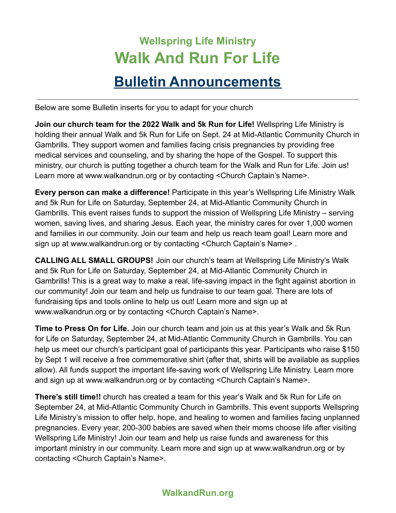## **Wellspring Life Ministry Walk And Run For Life Bulletin Announcements**

Below are some Bulletin inserts for you to adapt for your church

**Join our church team for the 2022 Walk and 5k Run for Life!** Wellspring Life Ministry is holding their annual Walk and 5k Run for Life on Sept. 24 at Mid-Atlantic Community Church in Gambrills. They support women and families facing crisis pregnancies by providing free medical services and counseling, and by sharing the hope of the Gospel. To support this ministry, our church is putting together a church team for the Walk and Run for Life. Join us! Learn more at www.walkandrun.org or by contacting <Church Captain's Name>.

**Every person can make a difference!** Participate in this year's Wellspring Life Ministry Walk and 5k Run for Life on Saturday, September 24, at Mid-Atlantic Community Church in Gambrills. This event raises funds to support the mission of Wellspring Life Ministry – serving women, saving lives, and sharing Jesus. Each year, the ministry cares for over 1,000 women and families in our community. Join our team and help us reach team goal! Learn more and sign up at www.walkandrun.org or by contacting <Church Captain's Name> .

**CALLING ALL SMALL GROUPS!** Join our church's team at Wellspring Life Ministry's Walk and 5k Run for Life on Saturday, September 24, at Mid-Atlantic Community Church in Gambrills! This is a great way to make a real, life-saving impact in the fight against abortion in our community! Join our team and help us fundraise to our team goal. There are lots of fundraising tips and tools online to help us out! Learn more and sign up at www.walkandrun.org or by contacting <Church Captain's Name>.

**Time to Press On for Life.** Join our church team and join us at this year's Walk and 5k Run for Life on Saturday, September 24, at Mid-Atlantic Community Church in Gambrills. You can help us meet our church's participant goal of participants this year. Participants who raise \$150 by Sept 1 will receive a free commemorative shirt (after that, shirts will be available as supplies allow). All funds support the important life-saving work of Wellspring Life Ministry. Learn more and sign up at www.walkandrun.org or by contacting <Church Captain's Name>.

**There's still time!!** church has created a team for this year's Walk and 5k Run for Life on September 24, at Mid-Atlantic Community Church in Gambrills. This event supports Wellspring Life Ministry's mission to offer help, hope, and healing to women and families facing unplanned pregnancies. Every year, 200-300 babies are saved when their moms choose life after visiting Wellspring Life Ministry! Join our team and help us raise funds and awareness for this important ministry in our community. Learn more and sign up at www.walkandrun.org or by contacting <Church Captain's Name>.

## **WalkandRun.org**